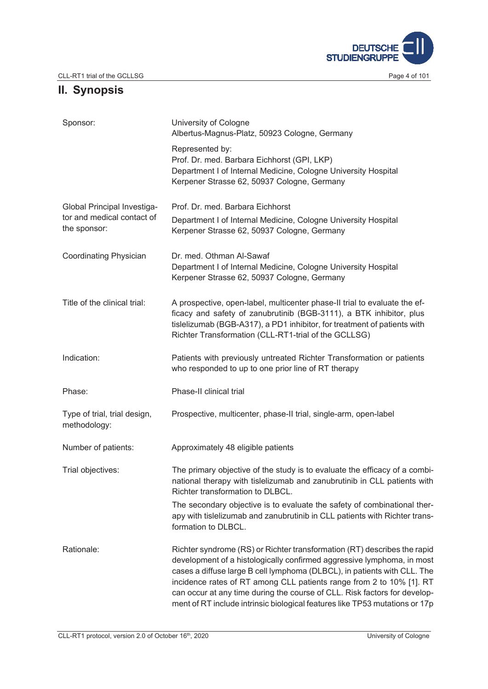

# **II. Synopsis**

| Sponsor:                                                                         | University of Cologne<br>Albertus-Magnus-Platz, 50923 Cologne, Germany                                                                                                                                                                                                                                                                                                                                                                                             |  |
|----------------------------------------------------------------------------------|--------------------------------------------------------------------------------------------------------------------------------------------------------------------------------------------------------------------------------------------------------------------------------------------------------------------------------------------------------------------------------------------------------------------------------------------------------------------|--|
|                                                                                  | Represented by:<br>Prof. Dr. med. Barbara Eichhorst (GPI, LKP)<br>Department I of Internal Medicine, Cologne University Hospital<br>Kerpener Strasse 62, 50937 Cologne, Germany                                                                                                                                                                                                                                                                                    |  |
| <b>Global Principal Investiga-</b><br>tor and medical contact of<br>the sponsor: | Prof. Dr. med. Barbara Eichhorst<br>Department I of Internal Medicine, Cologne University Hospital<br>Kerpener Strasse 62, 50937 Cologne, Germany                                                                                                                                                                                                                                                                                                                  |  |
| Coordinating Physician                                                           | Dr. med. Othman Al-Sawaf<br>Department I of Internal Medicine, Cologne University Hospital<br>Kerpener Strasse 62, 50937 Cologne, Germany                                                                                                                                                                                                                                                                                                                          |  |
| Title of the clinical trial:                                                     | A prospective, open-label, multicenter phase-II trial to evaluate the ef-<br>ficacy and safety of zanubrutinib (BGB-3111), a BTK inhibitor, plus<br>tislelizumab (BGB-A317), a PD1 inhibitor, for treatment of patients with<br>Richter Transformation (CLL-RT1-trial of the GCLLSG)                                                                                                                                                                               |  |
| Indication:                                                                      | Patients with previously untreated Richter Transformation or patients<br>who responded to up to one prior line of RT therapy                                                                                                                                                                                                                                                                                                                                       |  |
| Phase:                                                                           | Phase-II clinical trial                                                                                                                                                                                                                                                                                                                                                                                                                                            |  |
| Type of trial, trial design,<br>methodology:                                     | Prospective, multicenter, phase-II trial, single-arm, open-label                                                                                                                                                                                                                                                                                                                                                                                                   |  |
| Number of patients:                                                              | Approximately 48 eligible patients                                                                                                                                                                                                                                                                                                                                                                                                                                 |  |
| Trial objectives:                                                                | The primary objective of the study is to evaluate the efficacy of a combi-<br>national therapy with tislelizumab and zanubrutinib in CLL patients with<br>Richter transformation to DLBCL.                                                                                                                                                                                                                                                                         |  |
|                                                                                  | The secondary objective is to evaluate the safety of combinational ther-<br>apy with tislelizumab and zanubrutinib in CLL patients with Richter trans-<br>formation to DLBCL.                                                                                                                                                                                                                                                                                      |  |
| Rationale:                                                                       | Richter syndrome (RS) or Richter transformation (RT) describes the rapid<br>development of a histologically confirmed aggressive lymphoma, in most<br>cases a diffuse large B cell lymphoma (DLBCL), in patients with CLL. The<br>incidence rates of RT among CLL patients range from 2 to 10% [1]. RT<br>can occur at any time during the course of CLL. Risk factors for develop-<br>ment of RT include intrinsic biological features like TP53 mutations or 17p |  |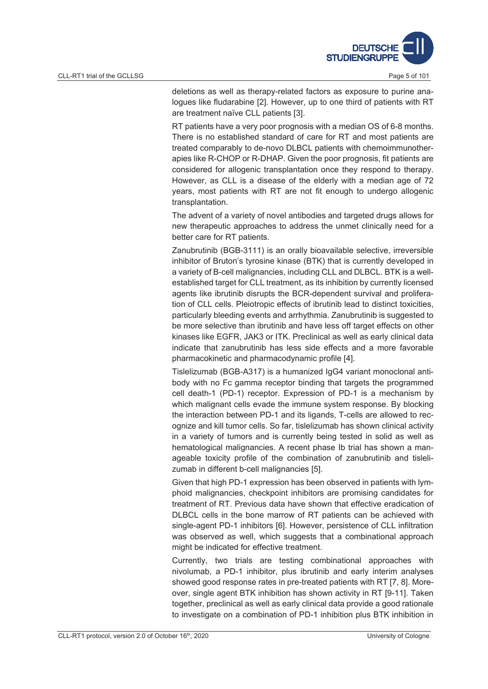

deletions as well as therapy-related factors as exposure to purine analogues like fludarabine [2]. However, up to one third of patients with RT are treatment naïve CLL patients [3].

RT patients have a very poor prognosis with a median OS of 6-8 months. There is no established standard of care for RT and most patients are treated comparably to de-novo DLBCL patients with chemoimmunotherapies like R-CHOP or R-DHAP. Given the poor prognosis, fit patients are considered for allogenic transplantation once they respond to therapy. However, as CLL is a disease of the elderly with a median age of 72 years, most patients with RT are not fit enough to undergo allogenic transplantation.

The advent of a variety of novel antibodies and targeted drugs allows for new therapeutic approaches to address the unmet clinically need for a better care for RT patients.

Zanubrutinib (BGB-3111) is an orally bioavailable selective, irreversible inhibitor of Bruton's tyrosine kinase (BTK) that is currently developed in a variety of B-cell malignancies, including CLL and DLBCL. BTK is a wellestablished target for CLL treatment, as its inhibition by currently licensed agents like ibrutinib disrupts the BCR-dependent survival and proliferation of CLL cells. Pleiotropic effects of ibrutinib lead to distinct toxicities, particularly bleeding events and arrhythmia. Zanubrutinib is suggested to be more selective than ibrutinib and have less off target effects on other kinases like EGFR, JAK3 or ITK. Preclinical as well as early clinical data indicate that zanubrutinib has less side effects and a more favorable pharmacokinetic and pharmacodynamic profile [4].

Tislelizumab (BGB-A317) is a humanized IgG4 variant monoclonal antibody with no Fc gamma receptor binding that targets the programmed cell death-1 (PD-1) receptor. Expression of PD-1 is a mechanism by which malignant cells evade the immune system response. By blocking the interaction between PD-1 and its ligands, T-cells are allowed to recognize and kill tumor cells. So far, tislelizumab has shown clinical activity in a variety of tumors and is currently being tested in solid as well as hematological malignancies. A recent phase Ib trial has shown a manageable toxicity profile of the combination of zanubrutinib and tislelizumab in different b-cell malignancies [5].

Given that high PD-1 expression has been observed in patients with lymphoid malignancies, checkpoint inhibitors are promising candidates for treatment of RT. Previous data have shown that effective eradication of DLBCL cells in the bone marrow of RT patients can be achieved with single-agent PD-1 inhibitors [6]. However, persistence of CLL infiltration was observed as well, which suggests that a combinational approach might be indicated for effective treatment.

Currently, two trials are testing combinational approaches with nivolumab, a PD-1 inhibitor, plus ibrutinib and early interim analyses showed good response rates in pre-treated patients with RT [7, 8]. Moreover, single agent BTK inhibition has shown activity in RT [9-11]. Taken together, preclinical as well as early clinical data provide a good rationale to investigate on a combination of PD-1 inhibition plus BTK inhibition in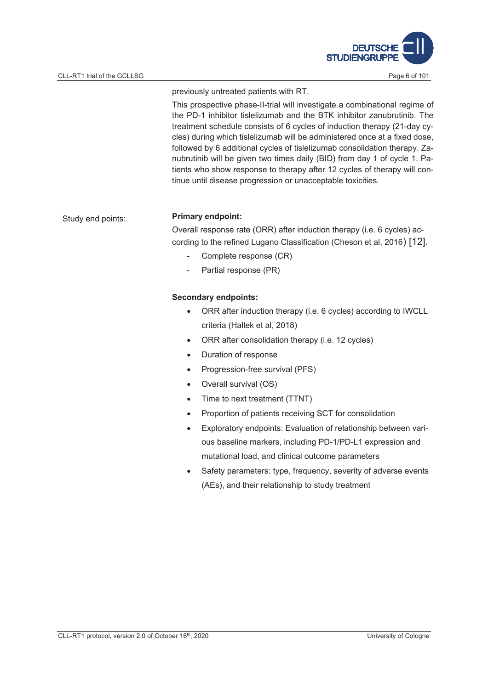

previously untreated patients with RT.

This prospective phase-II-trial will investigate a combinational regime of the PD-1 inhibitor tislelizumab and the BTK inhibitor zanubrutinib. The treatment schedule consists of 6 cycles of induction therapy (21-day cycles) during which tislelizumab will be administered once at a fixed dose, followed by 6 additional cycles of tislelizumab consolidation therapy. Zanubrutinib will be given two times daily (BID) from day 1 of cycle 1. Patients who show response to therapy after 12 cycles of therapy will continue until disease progression or unacceptable toxicities.

# Study end points: **Primary endpoint:**

Overall response rate (ORR) after induction therapy (i.e. 6 cycles) according to the refined Lugano Classification (Cheson et al, 2016) [12].

- Complete response (CR)
- Partial response (PR)

#### **Secondary endpoints:**

- ORR after induction therapy (i.e. 6 cycles) according to IWCLL criteria (Hallek et al, 2018)
- ORR after consolidation therapy (i.e. 12 cycles)
- Duration of response
- Progression-free survival (PFS)
- Overall survival (OS)
- Time to next treatment (TTNT)
- Proportion of patients receiving SCT for consolidation
- x Exploratory endpoints: Evaluation of relationship between various baseline markers, including PD-1/PD-L1 expression and mutational load, and clinical outcome parameters
- Safety parameters: type, frequency, severity of adverse events (AEs), and their relationship to study treatment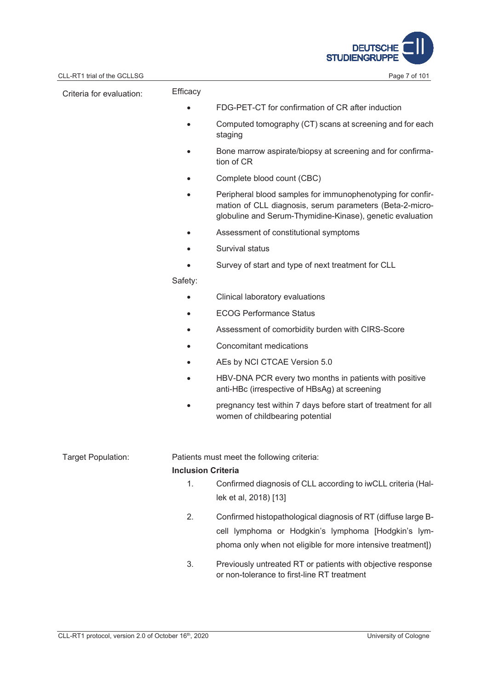

| CLL-RT1 trial of the GCLLSG |                           | Page 7 of 101                                                                                                                                                                       |  |
|-----------------------------|---------------------------|-------------------------------------------------------------------------------------------------------------------------------------------------------------------------------------|--|
| Criteria for evaluation:    | Efficacy                  |                                                                                                                                                                                     |  |
|                             |                           | FDG-PET-CT for confirmation of CR after induction                                                                                                                                   |  |
|                             |                           | Computed tomography (CT) scans at screening and for each<br>staging                                                                                                                 |  |
|                             |                           | Bone marrow aspirate/biopsy at screening and for confirma-<br>tion of CR                                                                                                            |  |
|                             |                           | Complete blood count (CBC)                                                                                                                                                          |  |
|                             |                           | Peripheral blood samples for immunophenotyping for confir-<br>mation of CLL diagnosis, serum parameters (Beta-2-micro-<br>globuline and Serum-Thymidine-Kinase), genetic evaluation |  |
|                             |                           | Assessment of constitutional symptoms                                                                                                                                               |  |
|                             |                           | Survival status                                                                                                                                                                     |  |
|                             |                           | Survey of start and type of next treatment for CLL                                                                                                                                  |  |
|                             | Safety:                   |                                                                                                                                                                                     |  |
|                             |                           | Clinical laboratory evaluations                                                                                                                                                     |  |
|                             | $\bullet$                 | <b>ECOG Performance Status</b>                                                                                                                                                      |  |
|                             |                           | Assessment of comorbidity burden with CIRS-Score                                                                                                                                    |  |
|                             |                           | Concomitant medications                                                                                                                                                             |  |
|                             |                           | AEs by NCI CTCAE Version 5.0                                                                                                                                                        |  |
|                             |                           | HBV-DNA PCR every two months in patients with positive<br>anti-HBc (irrespective of HBsAg) at screening                                                                             |  |
|                             |                           | pregnancy test within 7 days before start of treatment for all<br>women of childbearing potential                                                                                   |  |
| Target Population:          |                           | Patients must meet the following criteria:                                                                                                                                          |  |
|                             | <b>Inclusion Criteria</b> |                                                                                                                                                                                     |  |
|                             | 1.                        | Confirmed diagnosis of CLL according to iwCLL criteria (Hal-<br>lek et al, 2018) [13]                                                                                               |  |
|                             | 2.                        | Confirmed histopathological diagnosis of RT (diffuse large B-<br>cell lymphoma or Hodgkin's lymphoma [Hodgkin's lym-<br>phoma only when not eligible for more intensive treatment]) |  |
|                             | 3.                        | Previously untreated RT or patients with objective response<br>or non-tolerance to first-line RT treatment                                                                          |  |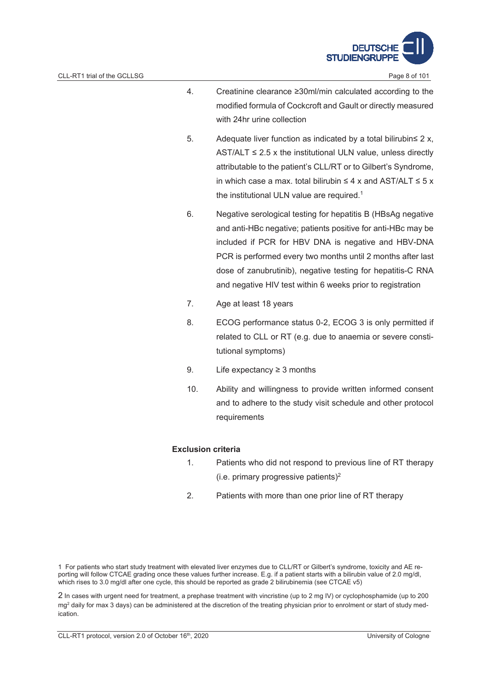

- 4. Creatinine clearance 30ml/min calculated according to the modified formula of Cockcroft and Gault or directly measured with 24hr urine collection
- 5. Adequate liver function as indicated by a total bilirubin  $\leq 2 x$ , AST/ALT  $\leq$  2.5 x the institutional ULN value, unless directly attributable to the patient's CLL/RT or to Gilbert's Syndrome, in which case a max. total bilirubin  $\leq 4$  x and AST/ALT  $\leq 5$  x the institutional ULN value are required.<sup>1</sup>
- 6. Negative serological testing for hepatitis B (HBsAg negative and anti-HBc negative; patients positive for anti-HBc may be included if PCR for HBV DNA is negative and HBV-DNA PCR is performed every two months until 2 months after last dose of zanubrutinib), negative testing for hepatitis-C RNA and negative HIV test within 6 weeks prior to registration
- 7. Age at least 18 years
- 8. ECOG performance status 0-2, ECOG 3 is only permitted if related to CLL or RT (e.g. due to anaemia or severe constitutional symptoms)
- 9. Life expectancy  $\geq$  3 months
- 10. Ability and willingness to provide written informed consent and to adhere to the study visit schedule and other protocol requirements

#### **Exclusion criteria**

- 1. Patients who did not respond to previous line of RT therapy (i.e. primary progressive patients)2
- 2. Patients with more than one prior line of RT therapy

1 For patients who start study treatment with elevated liver enzymes due to CLL/RT or Gilbert's syndrome, toxicity and AE reporting will follow CTCAE grading once these values further increase. E.g. if a patient starts with a bilirubin value of 2.0 mg/dl, which rises to 3.0 mg/dl after one cycle, this should be reported as grade 2 bilirubinemia (see CTCAE v5)

2 In cases with urgent need for treatment, a prephase treatment with vincristine (up to 2 mg IV) or cyclophosphamide (up to 200 mg<sup>2</sup> daily for max 3 days) can be administered at the discretion of the treating physician prior to enrolment or start of study medication.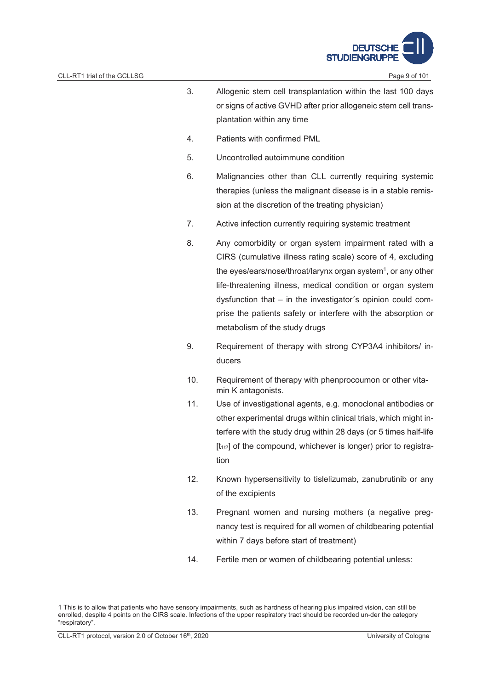

- 4. Patients with confirmed PML
- 5. Uncontrolled autoimmune condition
- 6. Malignancies other than CLL currently requiring systemic therapies (unless the malignant disease is in a stable remission at the discretion of the treating physician)
- 7. Active infection currently requiring systemic treatment
- 8. Any comorbidity or organ system impairment rated with a CIRS (cumulative illness rating scale) score of 4, excluding the eyes/ears/nose/throat/larynx organ system<sup>1</sup>, or any other life-threatening illness, medical condition or organ system dysfunction that – in the investigator´s opinion could comprise the patients safety or interfere with the absorption or metabolism of the study drugs
- 9. Requirement of therapy with strong CYP3A4 inhibitors/ inducers
- 10. Requirement of therapy with phenprocoumon or other vitamin K antagonists.
- 11. Use of investigational agents, e.g. monoclonal antibodies or other experimental drugs within clinical trials, which might interfere with the study drug within 28 days (or 5 times half-life  $[t_{1/2}]$  of the compound, whichever is longer) prior to registration
- 12. Known hypersensitivity to tislelizumab, zanubrutinib or any of the excipients
- 13. Pregnant women and nursing mothers (a negative pregnancy test is required for all women of childbearing potential within 7 days before start of treatment)
- 14. Fertile men or women of childbearing potential unless:

<sup>1</sup> This is to allow that patients who have sensory impairments, such as hardness of hearing plus impaired vision, can still be enrolled, despite 4 points on the CIRS scale. Infections of the upper respiratory tract should be recorded un-der the category "respiratory".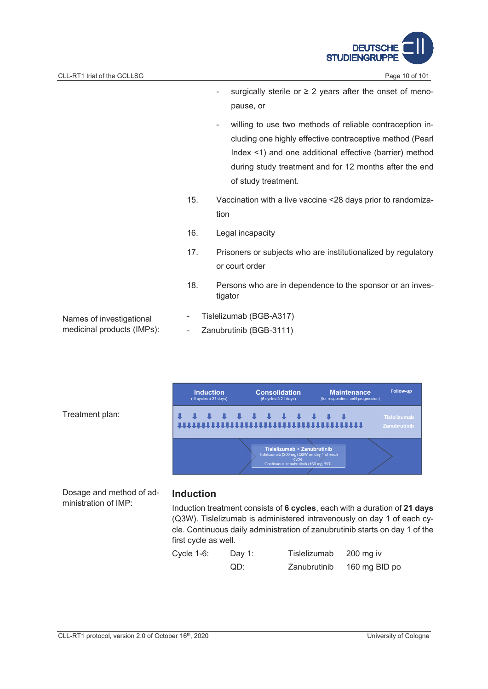

- surgically sterile or  $\geq$  2 years after the onset of menopause, or
- willing to use two methods of reliable contraception including one highly effective contraceptive method (Pearl Index <1) and one additional effective (barrier) method during study treatment and for 12 months after the end of study treatment.
- 15. Vaccination with a live vaccine <28 days prior to randomization
- 16. Legal incapacity
- 17. Prisoners or subjects who are institutionalized by regulatory or court order
- 18. Persons who are in dependence to the sponsor or an investigator
- Names of investigational medicinal products (IMPs):
- Tislelizumab (BGB-A317)
- Zanubrutinib (BGB-3111)



Treatment plan:

Dosage and method of administration of IMP:

#### **Induction**

Induction treatment consists of **6 cycles**, each with a duration of **21 days** (Q3W). Tislelizumab is administered intravenously on day 1 of each cycle. Continuous daily administration of zanubrutinib starts on day 1 of the first cycle as well.

| Cycle $1-6$ : | Day 1: | Tislelizumab | $200$ mg iv   |
|---------------|--------|--------------|---------------|
|               | QD:    | Zanubrutinib | 160 mg BID po |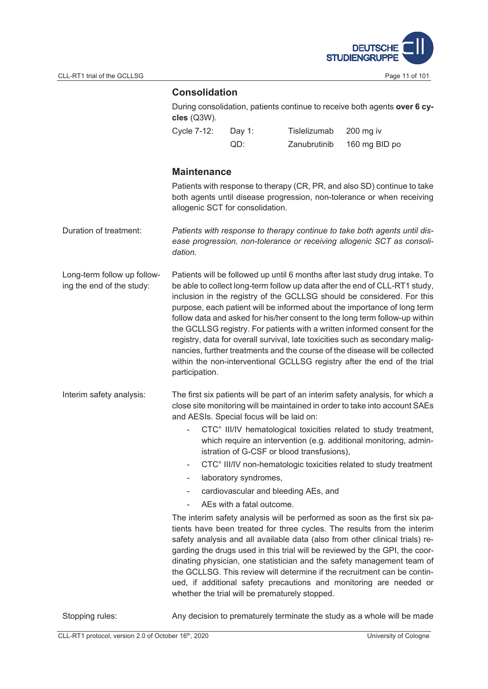

## **Consolidation**

| During consolidation, patients continue to receive both agents over 6 cy- |
|---------------------------------------------------------------------------|
| $c$ les (Q3W).                                                            |

| Cycle 7-12: | Day 1: | Tislelizumab | 200 mg iv     |
|-------------|--------|--------------|---------------|
|             | QD:    | Zanubrutinib | 160 mg BID po |

### **Maintenance**

Patients with response to therapy (CR, PR, and also SD) continue to take both agents until disease progression, non-tolerance or when receiving allogenic SCT for consolidation.

- Duration of treatment: *Patients with response to therapy continue to take both agents until disease progression, non-tolerance or receiving allogenic SCT as consolidation.*
- Long-term follow up following the end of the study: Patients will be followed up until 6 months after last study drug intake. To be able to collect long-term follow up data after the end of CLL-RT1 study, inclusion in the registry of the GCLLSG should be considered. For this purpose, each patient will be informed about the importance of long term follow data and asked for his/her consent to the long term follow-up within the GCLLSG registry. For patients with a written informed consent for the registry, data for overall survival, late toxicities such as secondary malignancies, further treatments and the course of the disease will be collected within the non-interventional GCLLSG registry after the end of the trial participation.
- Interim safety analysis: The first six patients will be part of an interim safety analysis, for which a close site monitoring will be maintained in order to take into account SAEs and AESIs. Special focus will be laid on:
	- CTC° III/IV hematological toxicities related to study treatment, which require an intervention (e.g. additional monitoring, administration of G-CSF or blood transfusions),
	- CTC° III/IV non-hematologic toxicities related to study treatment
	- laboratory syndromes,
	- cardiovascular and bleeding AEs, and
	- AEs with a fatal outcome.

The interim safety analysis will be performed as soon as the first six patients have been treated for three cycles. The results from the interim safety analysis and all available data (also from other clinical trials) regarding the drugs used in this trial will be reviewed by the GPI, the coordinating physician, one statistician and the safety management team of the GCLLSG. This review will determine if the recruitment can be continued, if additional safety precautions and monitoring are needed or whether the trial will be prematurely stopped.

Stopping rules: Any decision to prematurely terminate the study as a whole will be made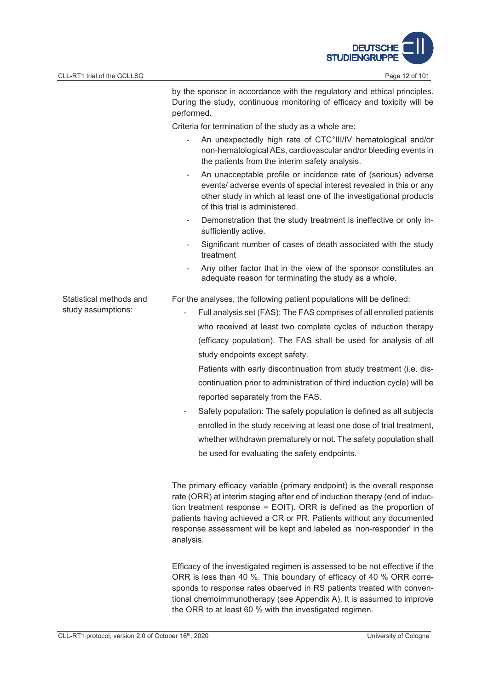

Statistical methods and study assumptions:

by the sponsor in accordance with the regulatory and ethical principles. During the study, continuous monitoring of efficacy and toxicity will be performed.

Criteria for termination of the study as a whole are:

- An unexpectedly high rate of CTC°III/IV hematological and/or non-hematological AEs, cardiovascular and/or bleeding events in the patients from the interim safety analysis.
- An unacceptable profile or incidence rate of (serious) adverse events/ adverse events of special interest revealed in this or any other study in which at least one of the investigational products of this trial is administered.
- Demonstration that the study treatment is ineffective or only insufficiently active.
- Significant number of cases of death associated with the study treatment
- Any other factor that in the view of the sponsor constitutes an adequate reason for terminating the study as a whole.

For the analyses, the following patient populations will be defined:

Full analysis set (FAS): The FAS comprises of all enrolled patients who received at least two complete cycles of induction therapy (efficacy population). The FAS shall be used for analysis of all study endpoints except safety.

Patients with early discontinuation from study treatment (i.e. discontinuation prior to administration of third induction cycle) will be reported separately from the FAS.

Safety population: The safety population is defined as all subjects enrolled in the study receiving at least one dose of trial treatment, whether withdrawn prematurely or not. The safety population shall be used for evaluating the safety endpoints.

The primary efficacy variable (primary endpoint) is the overall response rate (ORR) at interim staging after end of induction therapy (end of induction treatment response = EOIT). ORR is defined as the proportion of patients having achieved a CR or PR. Patients without any documented response assessment will be kept and labeled as 'non-responder' in the analysis.

Efficacy of the investigated regimen is assessed to be not effective if the ORR is less than 40 %. This boundary of efficacy of 40 % ORR corresponds to response rates observed in RS patients treated with conventional chemoimmunotherapy (see Appendix A). It is assumed to improve the ORR to at least 60 % with the investigated regimen.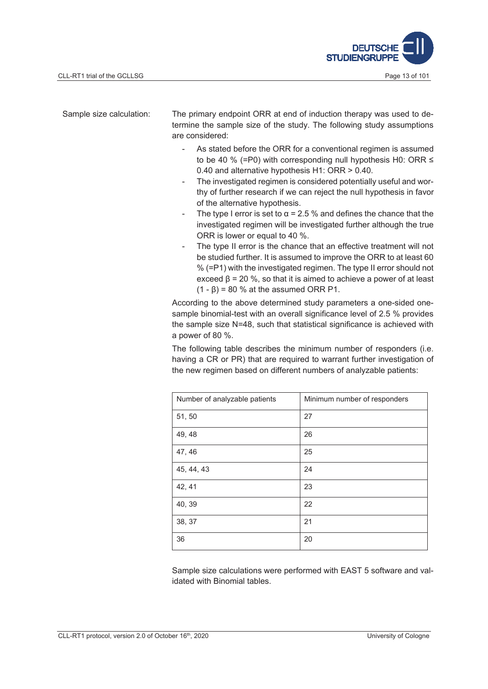

Sample size calculation: The primary endpoint ORR at end of induction therapy was used to determine the sample size of the study. The following study assumptions are considered:

- As stated before the ORR for a conventional regimen is assumed to be 40 % (=P0) with corresponding null hypothesis H0: ORR  $\leq$ 0.40 and alternative hypothesis H1: ORR > 0.40.
- The investigated regimen is considered potentially useful and worthy of further research if we can reject the null hypothesis in favor of the alternative hypothesis.
- The type I error is set to  $\alpha$  = 2.5 % and defines the chance that the investigated regimen will be investigated further although the true ORR is lower or equal to 40 %.
- The type II error is the chance that an effective treatment will not be studied further. It is assumed to improve the ORR to at least 60 % (=P1) with the investigated regimen. The type II error should not exceed  $\beta$  = 20 %, so that it is aimed to achieve a power of at least  $(1 - \beta) = 80$  % at the assumed ORR P1.

According to the above determined study parameters a one-sided onesample binomial-test with an overall significance level of 2.5 % provides the sample size N=48, such that statistical significance is achieved with a power of 80 %.

The following table describes the minimum number of responders (i.e. having a CR or PR) that are required to warrant further investigation of the new regimen based on different numbers of analyzable patients:

| Number of analyzable patients | Minimum number of responders |
|-------------------------------|------------------------------|
| 51,50                         | 27                           |
| 49, 48                        | 26                           |
| 47, 46                        | 25                           |
| 45, 44, 43                    | 24                           |
| 42, 41                        | 23                           |
| 40, 39                        | 22                           |
| 38, 37                        | 21                           |
| 36                            | 20                           |

Sample size calculations were performed with EAST 5 software and validated with Binomial tables.